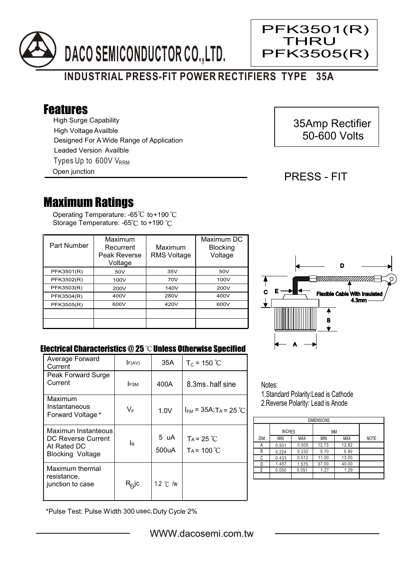

# **INDUSTRIAL PRESS-FIT POWER RECTIFIERS TYPE 35A**

# Features

High Surge Capability Types Up to  $600V$  V<sub>RRM</sub> High Voltage Availble Designed For A Wide Range of Application Leaded Version Availble

Open junction

# 35Amp Rectifier 50-600 Volts

### PRESS - FIT

PFK3501(R) **THRU** 

PFK3505(R)

Ξ

# Maximum Ratings

Operating Temperature: -65 $^{\circ}\textrm{C}$  to+190 Storage Temperature: -65°C to +190 °C

| Part Number | Maximum<br>Recurrent<br>Peak Reverse<br>Voltage | Maximum<br><b>RMS Voltage</b> | Maximum DC<br><b>Blocking</b><br>Voltage |
|-------------|-------------------------------------------------|-------------------------------|------------------------------------------|
| PFK3501(R)  | 50V                                             | 35V                           | 50V                                      |
| PFK3502(R)  | 100V                                            | 70V                           | 100V                                     |
| PFK3503(R)  | 200V                                            | 140V                          | 200V                                     |
| PFK3504(R)  | 400V                                            | 280V                          | 400V                                     |
| PFK3505(R)  | 600V                                            | 420V                          | 600V                                     |
|             |                                                 |                               |                                          |
|             |                                                 |                               |                                          |



#### Electrical Characteristics  $@25$   $^{\circ}\text{C}$  Unless Otherwise Specified

| Average Forward<br>Current                                                          | F(AV)             | 35A                | $T_c = 150 °C$                         |
|-------------------------------------------------------------------------------------|-------------------|--------------------|----------------------------------------|
| Peak Forward Surge<br>Current                                                       | <b>IFSM</b>       | 400A               | 8.3ms, half sine                       |
| Maximum<br>Instantaneous<br>Forward Voltage *                                       | VF                | 1.0V               | $I_{FM}$ = 35A; T <sub>A</sub> = 25 °C |
| Maximun Instanteous<br>DC Reverse Current<br>At Rated DC<br><b>Blocking Voltage</b> | l <sub>R</sub>    | 5 uA<br>500uA      | $Ta = 25 °C$<br>$Ta = 100 °C$          |
| Maximum thermal<br>resistance.<br>junction to case                                  | R <sub>©</sub> Jc | 1.2 $\degree$ C /w |                                        |

Notes: 1.Standard Polarity:Lead is Cathode

2.Reverse Polarity: Lead is Anode

| <b>DIMENSIONS</b> |               |            |       |            |             |  |  |  |
|-------------------|---------------|------------|-------|------------|-------------|--|--|--|
|                   | <b>INCHES</b> |            | ΜМ    |            |             |  |  |  |
| DIM               | MIN           | <b>MAX</b> | MIN   | <b>MAX</b> | <b>NOTE</b> |  |  |  |
| Α                 | 0.501         | 0.505      | 12.73 | 12.82      |             |  |  |  |
| В                 | 0.224         | 0.232      | 5.70  | 5.90       |             |  |  |  |
| C                 | 0.433         | 0.512      | 11.00 | 13.00      |             |  |  |  |
|                   | 1.457         | 1.575      | 37.00 | 40.00      |             |  |  |  |
| Е                 | 0.050         | 0.051      | 1.27  | 1.29       |             |  |  |  |
|                   |               |            |       |            |             |  |  |  |

\*Pulse Test: Pulse Width 300 usec,Duty Cycle 2%